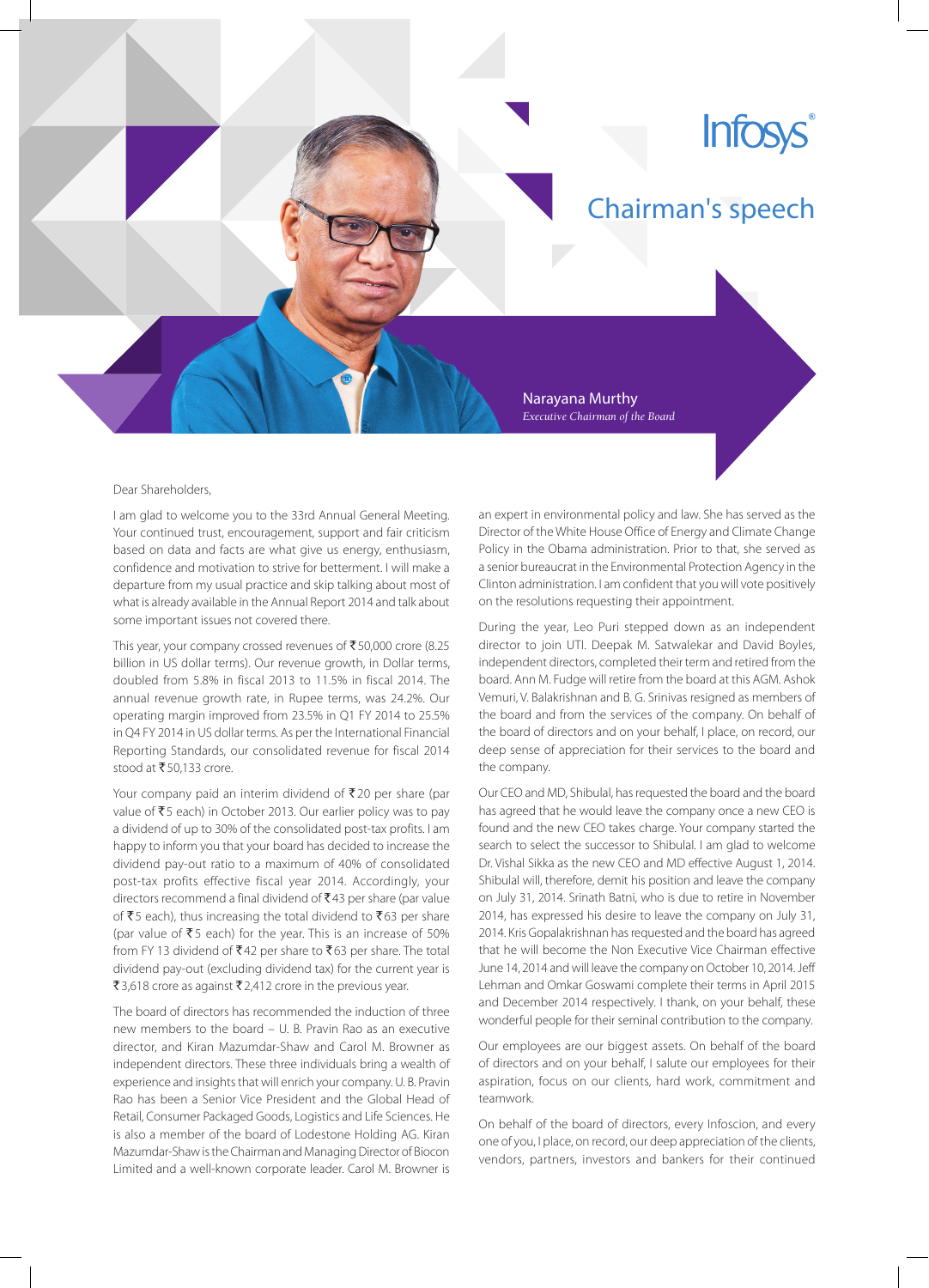## **Infosys**

## Chairman's speech

Narayana Murthy *Executive Chairman of the Board*

## Dear Shareholders,

I am glad to welcome you to the 33rd Annual General Meeting. Your continued trust, encouragement, support and fair criticism based on data and facts are what give us energy, enthusiasm, confidence and motivation to strive for betterment. I will make a departure from my usual practice and skip talking about most of what is already available in the Annual Report 2014 and talk about some important issues not covered there.

This year, your company crossed revenues of ₹50,000 crore (8.25 billion in US dollar terms). Our revenue growth, in Dollar terms, doubled from 5.8% in fiscal 2013 to 11.5% in fiscal 2014. The annual revenue growth rate, in Rupee terms, was 24.2%. Our operating margin improved from 23.5% in Q1 FY 2014 to 25.5% in Q4 FY 2014 in US dollar terms. As per the International Financial Reporting Standards, our consolidated revenue for fiscal 2014 stood at ₹50,133 crore.

Your company paid an interim dividend of  $\bar{\tau}$  20 per share (par value of  $\bar{z}$ 5 each) in October 2013. Our earlier policy was to pay a dividend of up to 30% of the consolidated post-tax profits. I am happy to inform you that your board has decided to increase the dividend pay‑out ratio to a maximum of 40% of consolidated post-tax profits effective fiscal year 2014. Accordingly, your directors recommend a final dividend of  $\bar{z}$ 43 per share (par value of  $\bar{\tau}$ 5 each), thus increasing the total dividend to  $\bar{\tau}$ 63 per share (par value of  $\bar{z}$  5 each) for the year. This is an increase of 50% from FY 13 dividend of  $\text{\textsf{F42}}$  per share to  $\text{\textsf{F63}}$  per share. The total dividend pay‑out (excluding dividend tax) for the current year is ₹3,618 crore as against ₹2,412 crore in the previous year.

The board of directors has recommended the induction of three new members to the board – U. B. Pravin Rao as an executive director, and Kiran Mazumdar‑Shaw and Carol M. Browner as independent directors. These three individuals bring a wealth of experience and insights that will enrich your company. U. B. Pravin Rao has been a Senior Vice President and the Global Head of Retail, Consumer Packaged Goods, Logistics and Life Sciences. He is also a member of the board of Lodestone Holding AG. Kiran Mazumdar‑Shaw is the Chairman and Managing Director of Biocon Limited and a well-known corporate leader. Carol M. Browner is

an expert in environmental policy and law. She has served as the Director of the White House Office of Energy and Climate Change Policy in the Obama administration. Prior to that, she served as a senior bureaucrat in the Environmental Protection Agency in the Clinton administration. I am confident that you will vote positively on the resolutions requesting their appointment.

During the year, Leo Puri stepped down as an independent director to join UTI. Deepak M. Satwalekar and David Boyles, independent directors, completed their term and retired from the board. Ann M. Fudge will retire from the board at this AGM. Ashok Vemuri, V. Balakrishnan and B. G. Srinivas resigned as members of the board and from the services of the company. On behalf of the board of directors and on your behalf, I place, on record, our deep sense of appreciation for their services to the board and the company.

Our CEO and MD, Shibulal, has requested the board and the board has agreed that he would leave the company once a new CEO is found and the new CEO takes charge. Your company started the search to select the successor to Shibulal. I am glad to welcome Dr. Vishal Sikka as the new CEO and MD effective August 1, 2014. Shibulal will, therefore, demit his position and leave the company on July 31, 2014. Srinath Batni, who is due to retire in November 2014, has expressed his desire to leave the company on July 31, 2014. Kris Gopalakrishnan has requested and the board has agreed that he will become the Non Executive Vice Chairman effective June 14, 2014 and will leave the company on October 10, 2014. Jeff Lehman and Omkar Goswami complete their terms in April 2015 and December 2014 respectively. I thank, on your behalf, these wonderful people for their seminal contribution to the company.

Our employees are our biggest assets. On behalf of the board of directors and on your behalf, I salute our employees for their aspiration, focus on our clients, hard work, commitment and teamwork.

On behalf of the board of directors, every Infoscion, and every one of you, I place, on record, our deep appreciation of the clients, vendors, partners, investors and bankers for their continued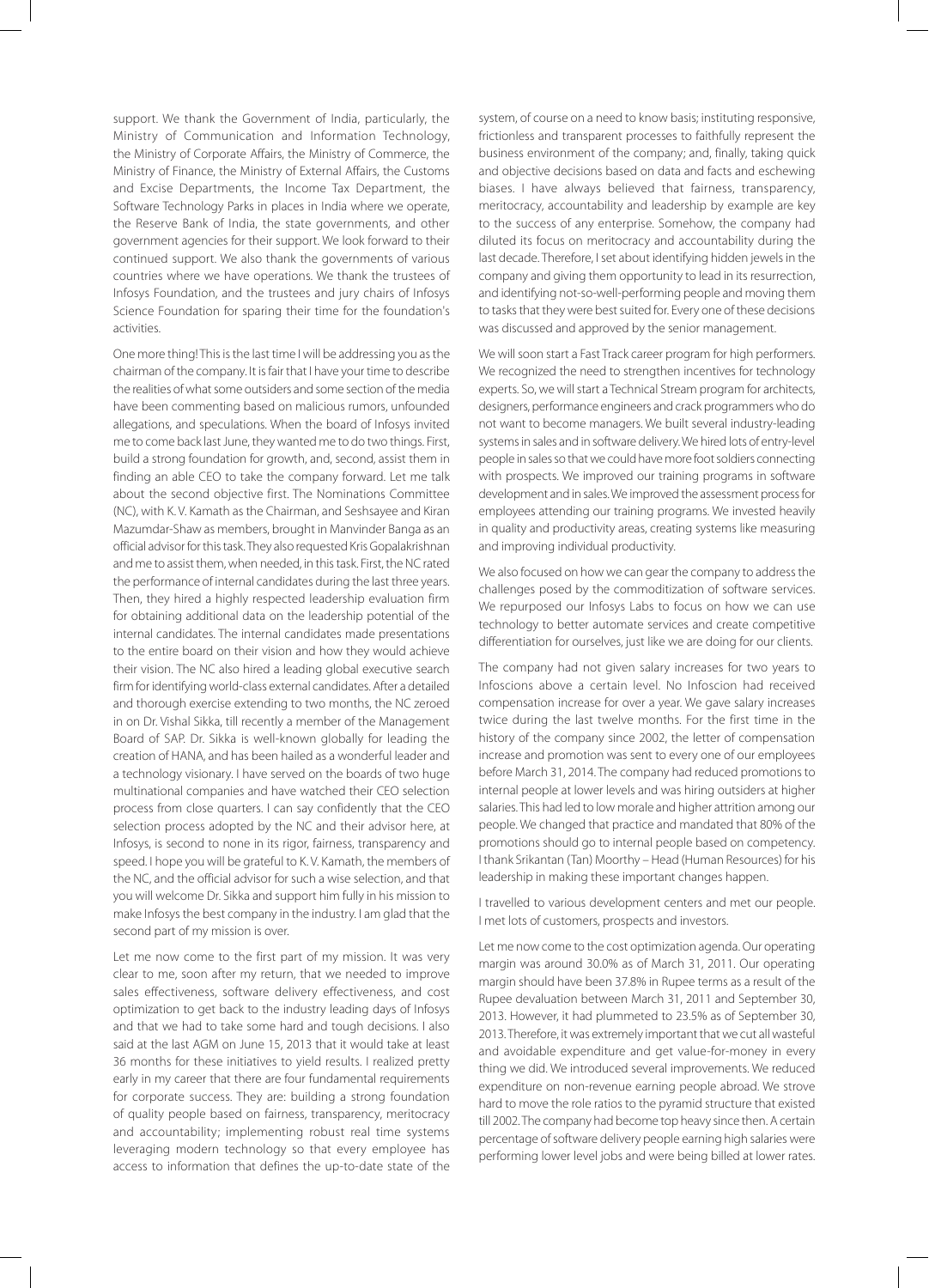support. We thank the Government of India, particularly, the Ministry of Communication and Information Technology, the Ministry of Corporate Affairs, the Ministry of Commerce, the Ministry of Finance, the Ministry of External Affairs, the Customs and Excise Departments, the Income Tax Department, the Software Technology Parks in places in India where we operate, the Reserve Bank of India, the state governments, and other government agencies for their support. We look forward to their continued support. We also thank the governments of various countries where we have operations. We thank the trustees of Infosys Foundation, and the trustees and jury chairs of Infosys Science Foundation for sparing their time for the foundation's activities.

One more thing! This is the last time I will be addressing you as the chairman of the company. It is fair that I have your time to describe the realities of what some outsiders and some section of the media have been commenting based on malicious rumors, unfounded allegations, and speculations. When the board of Infosys invited me to come back last June, they wanted me to do two things. First, build a strong foundation for growth, and, second, assist them in finding an able CEO to take the company forward. Let me talk about the second objective first. The Nominations Committee (NC), with K. V. Kamath as the Chairman, and Seshsayee and Kiran Mazumdar‑Shaw as members, brought in Manvinder Banga as an official advisor for this task. They also requested Kris Gopalakrishnan and me to assist them, when needed, in this task. First, the NC rated the performance of internal candidates during the last three years. Then, they hired a highly respected leadership evaluation firm for obtaining additional data on the leadership potential of the internal candidates. The internal candidates made presentations to the entire board on their vision and how they would achieve their vision. The NC also hired a leading global executive search firm for identifying world‑class external candidates. After a detailed and thorough exercise extending to two months, the NC zeroed in on Dr. Vishal Sikka, till recently a member of the Management Board of SAP. Dr. Sikka is well‑known globally for leading the creation of HANA, and has been hailed as a wonderful leader and a technology visionary. I have served on the boards of two huge multinational companies and have watched their CEO selection process from close quarters. I can say confidently that the CEO selection process adopted by the NC and their advisor here, at Infosys, is second to none in its rigor, fairness, transparency and speed. I hope you will be grateful to K. V. Kamath, the members of the NC, and the official advisor for such a wise selection, and that you will welcome Dr. Sikka and support him fully in his mission to make Infosys the best company in the industry. I am glad that the second part of my mission is over.

Let me now come to the first part of my mission. It was very clear to me, soon after my return, that we needed to improve sales effectiveness, software delivery effectiveness, and cost optimization to get back to the industry leading days of Infosys and that we had to take some hard and tough decisions. I also said at the last AGM on June 15, 2013 that it would take at least 36 months for these initiatives to yield results. I realized pretty early in my career that there are four fundamental requirements for corporate success. They are: building a strong foundation of quality people based on fairness, transparency, meritocracy and accountability; implementing robust real time systems leveraging modern technology so that every employee has access to information that defines the up‑to‑date state of the

system, of course on a need to know basis; instituting responsive, frictionless and transparent processes to faithfully represent the business environment of the company; and, finally, taking quick and objective decisions based on data and facts and eschewing biases. I have always believed that fairness, transparency, meritocracy, accountability and leadership by example are key to the success of any enterprise. Somehow, the company had diluted its focus on meritocracy and accountability during the last decade. Therefore, I set about identifying hidden jewels in the company and giving them opportunity to lead in its resurrection, and identifying not-so-well-performing people and moving them to tasks that they were best suited for. Every one of these decisions was discussed and approved by the senior management.

We will soon start a Fast Track career program for high performers. We recognized the need to strengthen incentives for technology experts. So, we will start a Technical Stream program for architects, designers, performance engineers and crack programmers who do not want to become managers. We built several industry‑leading systems in sales and in software delivery. We hired lots of entry-level people in sales so that we could have more foot soldiers connecting with prospects. We improved our training programs in software development and in sales. We improved the assessment process for employees attending our training programs. We invested heavily in quality and productivity areas, creating systems like measuring and improving individual productivity.

We also focused on how we can gear the company to address the challenges posed by the commoditization of software services. We repurposed our Infosys Labs to focus on how we can use technology to better automate services and create competitive differentiation for ourselves, just like we are doing for our clients.

The company had not given salary increases for two years to Infoscions above a certain level. No Infoscion had received compensation increase for over a year. We gave salary increases twice during the last twelve months. For the first time in the history of the company since 2002, the letter of compensation increase and promotion was sent to every one of our employees before March 31, 2014. The company had reduced promotions to internal people at lower levels and was hiring outsiders at higher salaries. This had led to low morale and higher attrition among our people. We changed that practice and mandated that 80% of the promotions should go to internal people based on competency. I thank Srikantan (Tan) Moorthy – Head (Human Resources) for his leadership in making these important changes happen.

I travelled to various development centers and met our people. I met lots of customers, prospects and investors.

Let me now come to the cost optimization agenda. Our operating margin was around 30.0% as of March 31, 2011. Our operating margin should have been 37.8% in Rupee terms as a result of the Rupee devaluation between March 31, 2011 and September 30, 2013. However, it had plummeted to 23.5% as of September 30, 2013. Therefore, it was extremely important that we cut all wasteful and avoidable expenditure and get value-for-money in every thing we did. We introduced several improvements. We reduced expenditure on non-revenue earning people abroad. We strove hard to move the role ratios to the pyramid structure that existed till 2002. The company had become top heavy since then. A certain percentage of software delivery people earning high salaries were performing lower level jobs and were being billed at lower rates.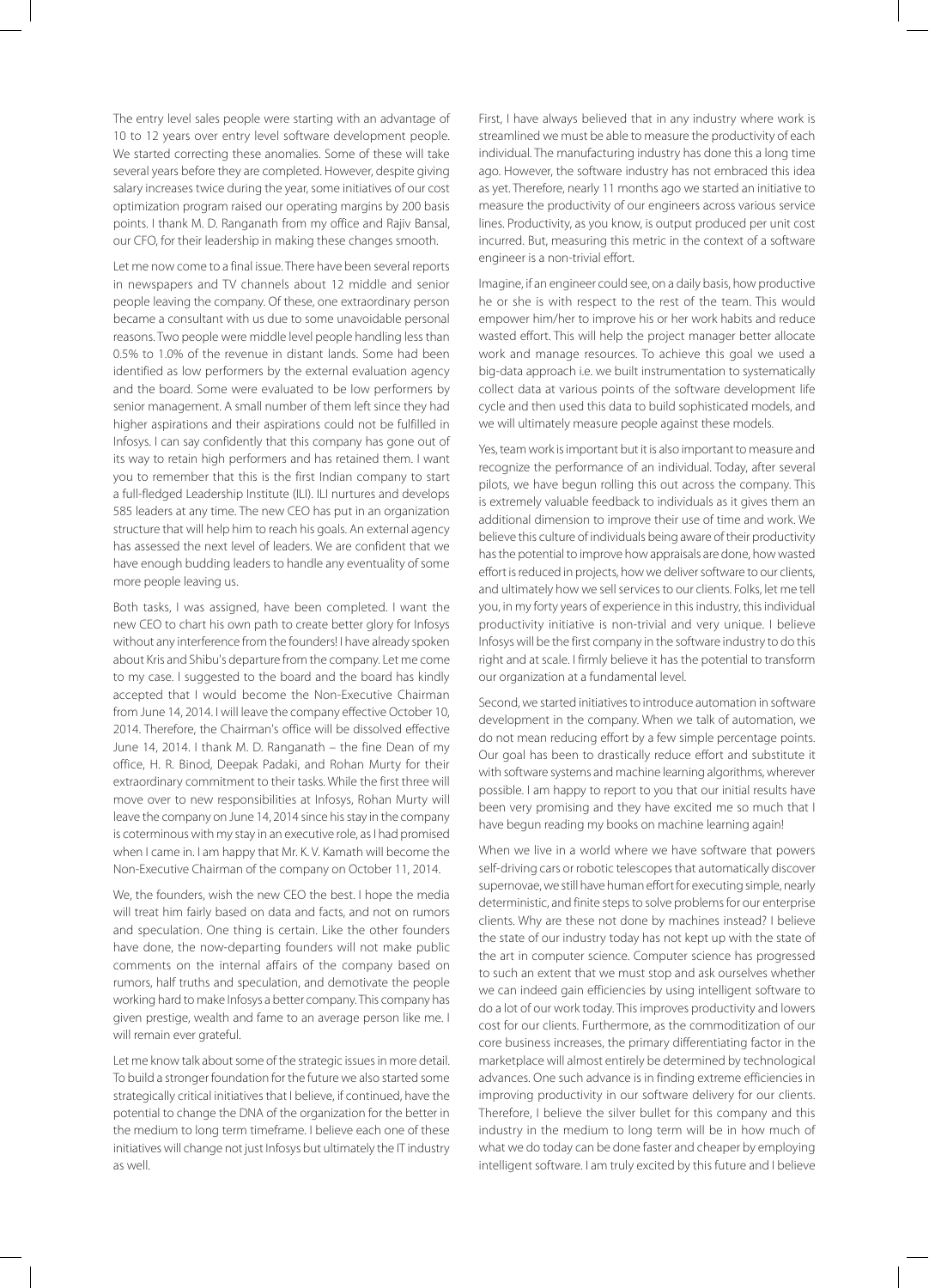The entry level sales people were starting with an advantage of 10 to 12 years over entry level software development people. We started correcting these anomalies. Some of these will take several years before they are completed. However, despite giving salary increases twice during the year, some initiatives of our cost optimization program raised our operating margins by 200 basis points. I thank M. D. Ranganath from my office and Rajiv Bansal, our CFO, for their leadership in making these changes smooth.

Let me now come to a final issue. There have been several reports in newspapers and TV channels about 12 middle and senior people leaving the company. Of these, one extraordinary person became a consultant with us due to some unavoidable personal reasons. Two people were middle level people handling less than 0.5% to 1.0% of the revenue in distant lands. Some had been identified as low performers by the external evaluation agency and the board. Some were evaluated to be low performers by senior management. A small number of them left since they had higher aspirations and their aspirations could not be fulfilled in Infosys. I can say confidently that this company has gone out of its way to retain high performers and has retained them. I want you to remember that this is the first Indian company to start a full‑fledged Leadership Institute (ILI). ILI nurtures and develops 585 leaders at any time. The new CEO has put in an organization structure that will help him to reach his goals. An external agency has assessed the next level of leaders. We are confident that we have enough budding leaders to handle any eventuality of some more people leaving us.

Both tasks, I was assigned, have been completed. I want the new CEO to chart his own path to create better glory for Infosys without any interference from the founders! I have already spoken about Kris and Shibu's departure from the company. Let me come to my case. I suggested to the board and the board has kindly accepted that I would become the Non-Executive Chairman from June 14, 2014. I will leave the company effective October 10, 2014. Therefore, the Chairman's office will be dissolved effective June 14, 2014. I thank M. D. Ranganath – the fine Dean of my office, H. R. Binod, Deepak Padaki, and Rohan Murty for their extraordinary commitment to their tasks. While the first three will move over to new responsibilities at Infosys, Rohan Murty will leave the company on June 14, 2014 since his stay in the company is coterminous with my stay in an executive role, as I had promised when I came in. I am happy that Mr. K. V. Kamath will become the Non‑Executive Chairman of the company on October 11, 2014.

We, the founders, wish the new CEO the best. I hope the media will treat him fairly based on data and facts, and not on rumors and speculation. One thing is certain. Like the other founders have done, the now‑departing founders will not make public comments on the internal affairs of the company based on rumors, half truths and speculation, and demotivate the people working hard to make Infosys a better company. This company has given prestige, wealth and fame to an average person like me. I will remain ever grateful.

Let me know talk about some of the strategic issues in more detail. To build a stronger foundation for the future we also started some strategically critical initiatives that I believe, if continued, have the potential to change the DNA of the organization for the better in the medium to long term timeframe. I believe each one of these initiatives will change not just Infosys but ultimately the IT industry as well.

First, I have always believed that in any industry where work is streamlined we must be able to measure the productivity of each individual. The manufacturing industry has done this a long time ago. However, the software industry has not embraced this idea as yet. Therefore, nearly 11 months ago we started an initiative to measure the productivity of our engineers across various service lines. Productivity, as you know, is output produced per unit cost incurred. But, measuring this metric in the context of a software engineer is a non-trivial effort.

Imagine, if an engineer could see, on a daily basis, how productive he or she is with respect to the rest of the team. This would empower him/her to improve his or her work habits and reduce wasted effort. This will help the project manager better allocate work and manage resources. To achieve this goal we used a big‑data approach i.e. we built instrumentation to systematically collect data at various points of the software development life cycle and then used this data to build sophisticated models, and we will ultimately measure people against these models.

Yes, team work is important but it is also important to measure and recognize the performance of an individual. Today, after several pilots, we have begun rolling this out across the company. This is extremely valuable feedback to individuals as it gives them an additional dimension to improve their use of time and work. We believe this culture of individuals being aware of their productivity has the potential to improve how appraisals are done, how wasted effort is reduced in projects, how we deliver software to our clients, and ultimately how we sell services to our clients. Folks, let me tell you, in my forty years of experience in this industry, this individual productivity initiative is non-trivial and very unique. I believe Infosys will be the first company in the software industry to do this right and at scale. I firmly believe it has the potential to transform our organization at a fundamental level.

Second, we started initiatives to introduce automation in software development in the company. When we talk of automation, we do not mean reducing effort by a few simple percentage points. Our goal has been to drastically reduce effort and substitute it with software systems and machine learning algorithms, wherever possible. I am happy to report to you that our initial results have been very promising and they have excited me so much that I have begun reading my books on machine learning again!

When we live in a world where we have software that powers self-driving cars or robotic telescopes that automatically discover supernovae, we still have human effort for executing simple, nearly deterministic, and finite steps to solve problems for our enterprise clients. Why are these not done by machines instead? I believe the state of our industry today has not kept up with the state of the art in computer science. Computer science has progressed to such an extent that we must stop and ask ourselves whether we can indeed gain efficiencies by using intelligent software to do a lot of our work today. This improves productivity and lowers cost for our clients. Furthermore, as the commoditization of our core business increases, the primary differentiating factor in the marketplace will almost entirely be determined by technological advances. One such advance is in finding extreme efficiencies in improving productivity in our software delivery for our clients. Therefore, I believe the silver bullet for this company and this industry in the medium to long term will be in how much of what we do today can be done faster and cheaper by employing intelligent software. I am truly excited by this future and I believe